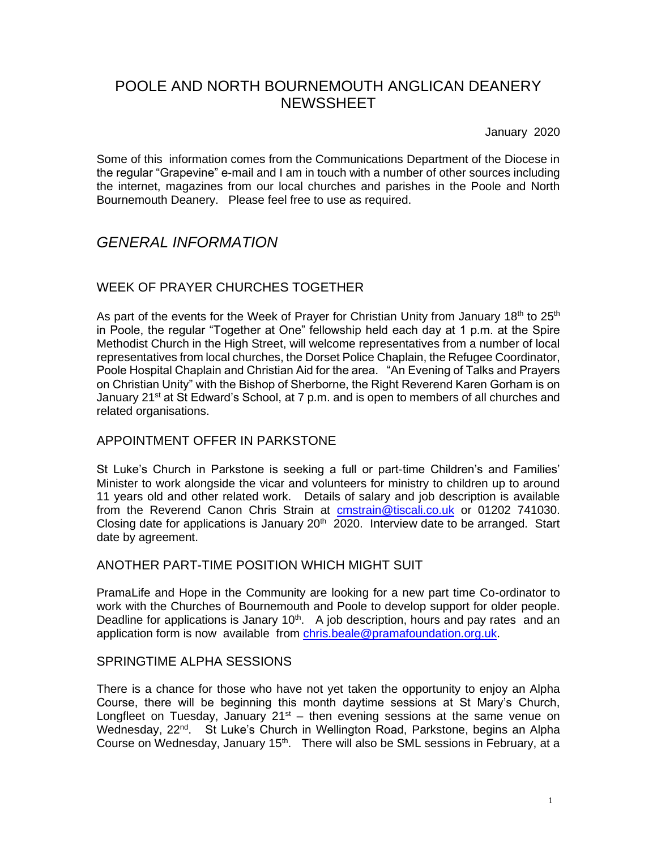# POOLE AND NORTH BOURNEMOUTH ANGLICAN DEANERY **NEWSSHEET**

January 2020

Some of this information comes from the Communications Department of the Diocese in the regular "Grapevine" e-mail and I am in touch with a number of other sources including the internet, magazines from our local churches and parishes in the Poole and North Bournemouth Deanery. Please feel free to use as required.

# *GENERAL INFORMATION*

# WEEK OF PRAYER CHURCHES TOGETHER

As part of the events for the Week of Prayer for Christian Unity from January 18<sup>th</sup> to 25<sup>th</sup> in Poole, the regular "Together at One" fellowship held each day at 1 p.m. at the Spire Methodist Church in the High Street, will welcome representatives from a number of local representatives from local churches, the Dorset Police Chaplain, the Refugee Coordinator, Poole Hospital Chaplain and Christian Aid for the area. "An Evening of Talks and Prayers on Christian Unity" with the Bishop of Sherborne, the Right Reverend Karen Gorham is on January 21<sup>st</sup> at St Edward's School, at 7 p.m. and is open to members of all churches and related organisations.

# APPOINTMENT OFFER IN PARKSTONE

St Luke's Church in Parkstone is seeking a full or part-time Children's and Families' Minister to work alongside the vicar and volunteers for ministry to children up to around 11 years old and other related work. Details of salary and job description is available from the Reverend Canon Chris Strain at **[cmstrain@tiscali.co.uk](mailto:cmstrain@tiscali.co.uk)** or 01202 741030. Closing date for applications is January 20<sup>th</sup> 2020. Interview date to be arranged. Start date by agreement.

## ANOTHER PART-TIME POSITION WHICH MIGHT SUIT

PramaLife and Hope in the Community are looking for a new part time Co-ordinator to work with the Churches of Bournemouth and Poole to develop support for older people. Deadline for applications is Janary  $10^{th}$ . A job description, hours and pay rates and an application form is now available from [chris.beale@pramafoundation.org.uk.](mailto:chris.beale@pramafoundation.org.uk)

# SPRINGTIME ALPHA SESSIONS

There is a chance for those who have not yet taken the opportunity to enjoy an Alpha Course, there will be beginning this month daytime sessions at St Mary's Church, Longfleet on Tuesday, January  $21<sup>st</sup>$  – then evening sessions at the same venue on Wednesday, 22<sup>nd</sup>. St Luke's Church in Wellington Road, Parkstone, begins an Alpha Course on Wednesday, January 15<sup>th</sup>. There will also be SML sessions in February, at a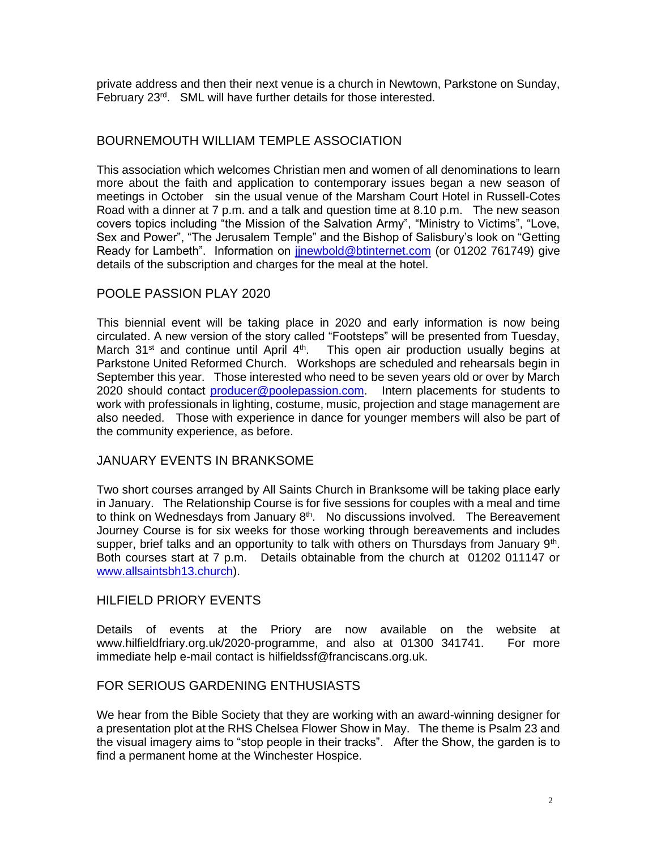private address and then their next venue is a church in Newtown, Parkstone on Sunday, February 23rd. SML will have further details for those interested.

## BOURNEMOUTH WILLIAM TEMPLE ASSOCIATION

This association which welcomes Christian men and women of all denominations to learn more about the faith and application to contemporary issues began a new season of meetings in October sin the usual venue of the Marsham Court Hotel in Russell-Cotes Road with a dinner at 7 p.m. and a talk and question time at 8.10 p.m. The new season covers topics including "the Mission of the Salvation Army", "Ministry to Victims", "Love, Sex and Power", "The Jerusalem Temple" and the Bishop of Salisbury's look on "Getting Ready for Lambeth". Information on jinewbold@btinternet.com (or 01202 761749) give details of the subscription and charges for the meal at the hotel.

# POOLE PASSION PLAY 2020

This biennial event will be taking place in 2020 and early information is now being circulated. A new version of the story called "Footsteps" will be presented from Tuesday, March 31<sup>st</sup> and continue until April  $4<sup>th</sup>$ . This open air production usually begins at Parkstone United Reformed Church. Workshops are scheduled and rehearsals begin in September this year. Those interested who need to be seven years old or over by March 2020 should contact [producer@poolepassion.com.](mailto:producer@poolepassion.com) Intern placements for students to work with professionals in lighting, costume, music, projection and stage management are also needed. Those with experience in dance for younger members will also be part of the community experience, as before.

## JANUARY EVENTS IN BRANKSOME

Two short courses arranged by All Saints Church in Branksome will be taking place early in January. The Relationship Course is for five sessions for couples with a meal and time to think on Wednesdays from January  $8<sup>th</sup>$ . No discussions involved. The Bereavement Journey Course is for six weeks for those working through bereavements and includes supper, brief talks and an opportunity to talk with others on Thursdays from January  $9<sup>th</sup>$ . Both courses start at 7 p.m. Details obtainable from the church at 01202 011147 or [www.allsaintsbh13.church\)](http://www.allsaintsbh13.church/).

#### HILFIELD PRIORY EVENTS

Details of events at the Priory are now available on the website at www.hilfieldfriary.org.uk/2020-programme, and also at 01300 341741. For more immediate help e-mail contact is hilfieldssf@franciscans.org.uk.

## FOR SERIOUS GARDENING ENTHUSIASTS

We hear from the Bible Society that they are working with an award-winning designer for a presentation plot at the RHS Chelsea Flower Show in May. The theme is Psalm 23 and the visual imagery aims to "stop people in their tracks". After the Show, the garden is to find a permanent home at the Winchester Hospice.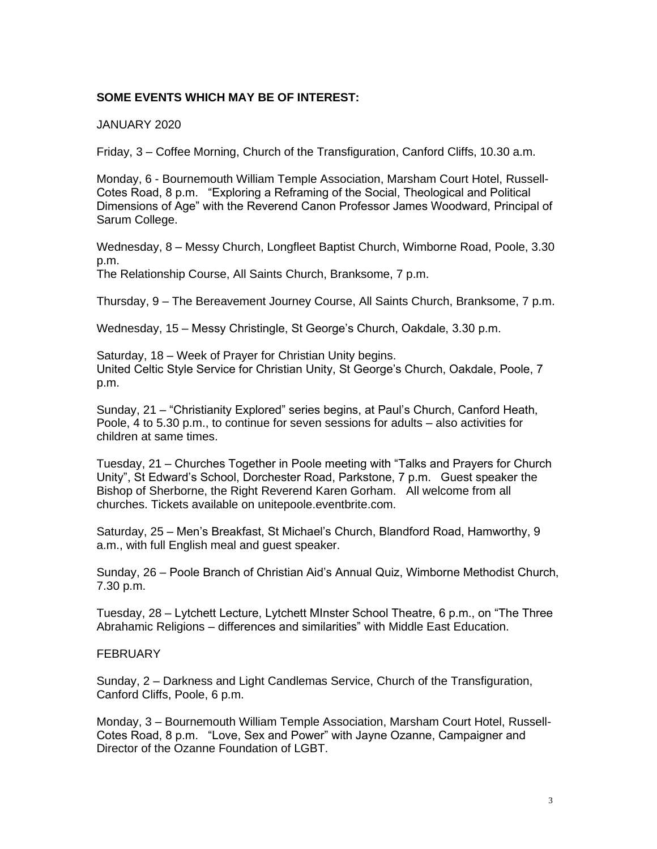#### **SOME EVENTS WHICH MAY BE OF INTEREST:**

JANUARY 2020

Friday, 3 – Coffee Morning, Church of the Transfiguration, Canford Cliffs, 10.30 a.m.

Monday, 6 - Bournemouth William Temple Association, Marsham Court Hotel, Russell-Cotes Road, 8 p.m. "Exploring a Reframing of the Social, Theological and Political Dimensions of Age" with the Reverend Canon Professor James Woodward, Principal of Sarum College.

Wednesday, 8 – Messy Church, Longfleet Baptist Church, Wimborne Road, Poole, 3.30 p.m.

The Relationship Course, All Saints Church, Branksome, 7 p.m.

Thursday, 9 – The Bereavement Journey Course, All Saints Church, Branksome, 7 p.m.

Wednesday, 15 – Messy Christingle, St George's Church, Oakdale, 3.30 p.m.

Saturday, 18 – Week of Prayer for Christian Unity begins. United Celtic Style Service for Christian Unity, St George's Church, Oakdale, Poole, 7 p.m.

Sunday, 21 – "Christianity Explored" series begins, at Paul's Church, Canford Heath, Poole, 4 to 5.30 p.m., to continue for seven sessions for adults – also activities for children at same times.

Tuesday, 21 – Churches Together in Poole meeting with "Talks and Prayers for Church Unity", St Edward's School, Dorchester Road, Parkstone, 7 p.m. Guest speaker the Bishop of Sherborne, the Right Reverend Karen Gorham. All welcome from all churches. Tickets available on unitepoole.eventbrite.com.

Saturday, 25 – Men's Breakfast, St Michael's Church, Blandford Road, Hamworthy, 9 a.m., with full English meal and guest speaker.

Sunday, 26 – Poole Branch of Christian Aid's Annual Quiz, Wimborne Methodist Church, 7.30 p.m.

Tuesday, 28 – Lytchett Lecture, Lytchett MInster School Theatre, 6 p.m., on "The Three Abrahamic Religions – differences and similarities" with Middle East Education.

#### **FEBRUARY**

Sunday, 2 – Darkness and Light Candlemas Service, Church of the Transfiguration, Canford Cliffs, Poole, 6 p.m.

Monday, 3 – Bournemouth William Temple Association, Marsham Court Hotel, Russell-Cotes Road, 8 p.m. "Love, Sex and Power" with Jayne Ozanne, Campaigner and Director of the Ozanne Foundation of LGBT.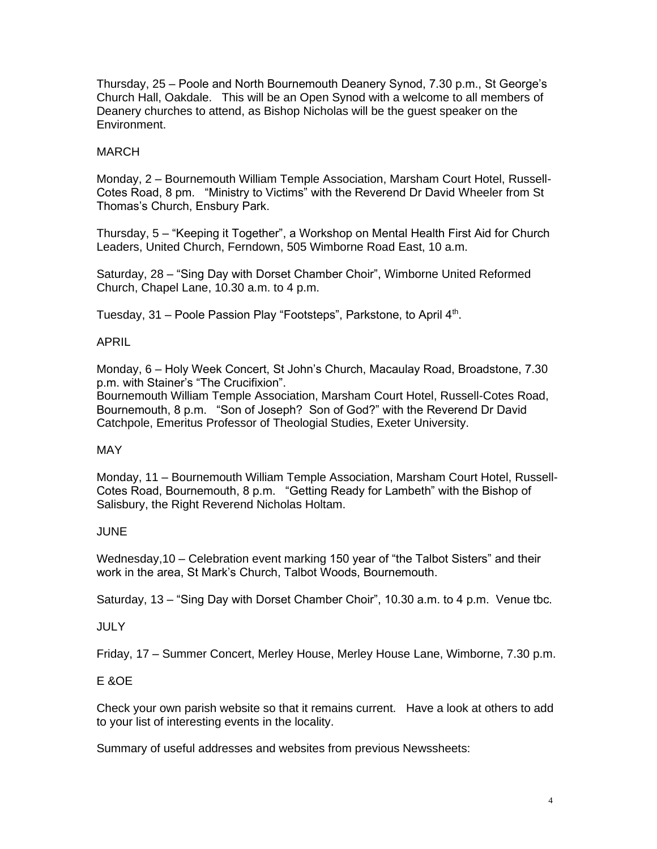Thursday, 25 – Poole and North Bournemouth Deanery Synod, 7.30 p.m., St George's Church Hall, Oakdale. This will be an Open Synod with a welcome to all members of Deanery churches to attend, as Bishop Nicholas will be the guest speaker on the Environment.

### MARCH

Monday, 2 – Bournemouth William Temple Association, Marsham Court Hotel, Russell-Cotes Road, 8 pm. "Ministry to Victims" with the Reverend Dr David Wheeler from St Thomas's Church, Ensbury Park.

Thursday, 5 – "Keeping it Together", a Workshop on Mental Health First Aid for Church Leaders, United Church, Ferndown, 505 Wimborne Road East, 10 a.m.

Saturday, 28 – "Sing Day with Dorset Chamber Choir", Wimborne United Reformed Church, Chapel Lane, 10.30 a.m. to 4 p.m.

Tuesday, 31 – Poole Passion Play "Footsteps", Parkstone, to April 4<sup>th</sup>.

#### APRIL

Monday, 6 – Holy Week Concert, St John's Church, Macaulay Road, Broadstone, 7.30 p.m. with Stainer's "The Crucifixion".

Bournemouth William Temple Association, Marsham Court Hotel, Russell-Cotes Road, Bournemouth, 8 p.m. "Son of Joseph? Son of God?" with the Reverend Dr David Catchpole, Emeritus Professor of Theologial Studies, Exeter University.

#### MAY

Monday, 11 – Bournemouth William Temple Association, Marsham Court Hotel, Russell-Cotes Road, Bournemouth, 8 p.m. "Getting Ready for Lambeth" with the Bishop of Salisbury, the Right Reverend Nicholas Holtam.

## **JUNE**

Wednesday,10 – Celebration event marking 150 year of "the Talbot Sisters" and their work in the area, St Mark's Church, Talbot Woods, Bournemouth.

Saturday, 13 – "Sing Day with Dorset Chamber Choir", 10.30 a.m. to 4 p.m. Venue tbc.

#### **JULY**

Friday, 17 – Summer Concert, Merley House, Merley House Lane, Wimborne, 7.30 p.m.

## E &OE

Check your own parish website so that it remains current. Have a look at others to add to your list of interesting events in the locality.

Summary of useful addresses and websites from previous Newssheets: